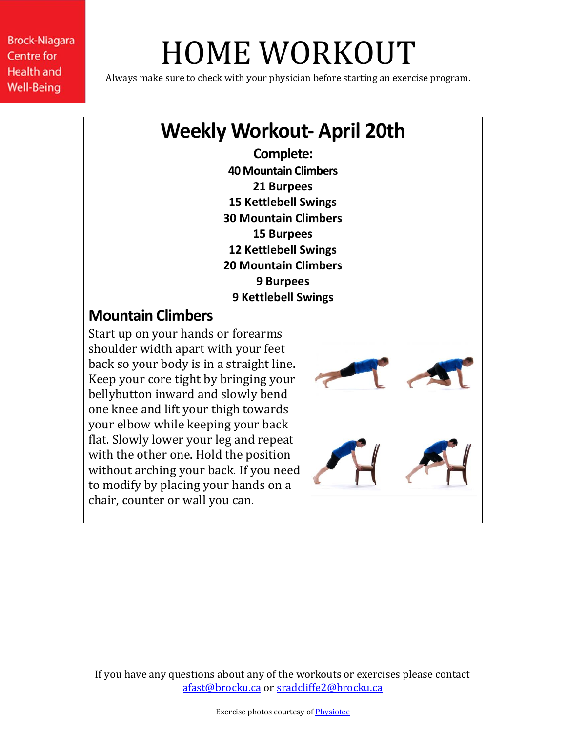# HOME WORKOUT

Always make sure to check with your physician before starting an exercise program.

### **Weekly Workout- April 20th**

**Complete: 40 Mountain Climbers 21 Burpees 15 Kettlebell Swings 30 Mountain Climbers 15 Burpees 12 Kettlebell Swings 20 Mountain Climbers 9 Burpees 9 Kettlebell Swings**

### **Mountain Climbers**

Start up on your hands or forearms shoulder width apart with your feet back so your body is in a straight line. Keep your core tight by bringing your bellybutton inward and slowly bend one knee and lift your thigh towards your elbow while keeping your back flat. Slowly lower your leg and repeat with the other one. Hold the position without arching your back. If you need to modify by placing your hands on a chair, counter or wall you can.

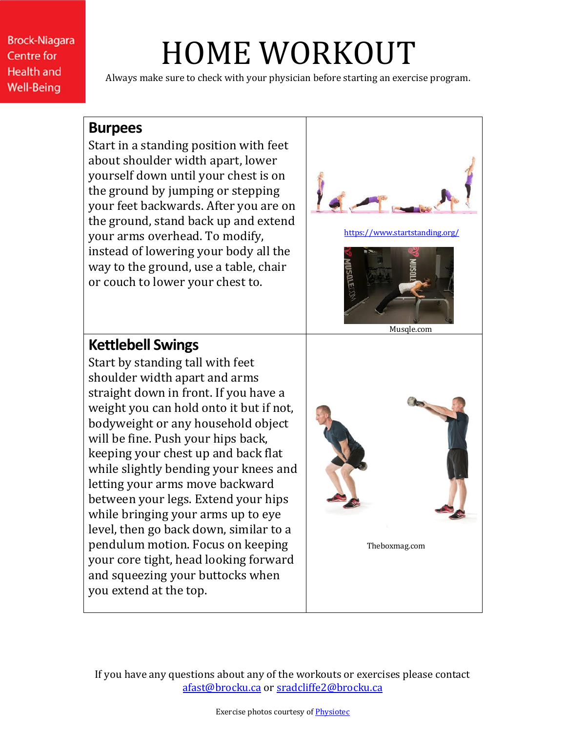## HOME WORKOUT

Always make sure to check with your physician before starting an exercise program.

#### **Burpees**

Start in a standing position with feet about shoulder width apart, lower yourself down until your chest is on the ground by jumping or stepping your feet backwards. After you are on the ground, stand back up and extend your arms overhead. To modify, instead of lowering your body all the way to the ground, use a table, chair or couch to lower your chest to.



### **Kettlebell Swings**

Start by standing tall with feet shoulder width apart and arms straight down in front. If you have a weight you can hold onto it but if not, bodyweight or any household object will be fine. Push your hips back, keeping your chest up and back flat while slightly bending your knees and letting your arms move backward between your legs. Extend your hips while bringing your arms up to eye level, then go back down, similar to a pendulum motion. Focus on keeping your core tight, head looking forward and squeezing your buttocks when you extend at the top.

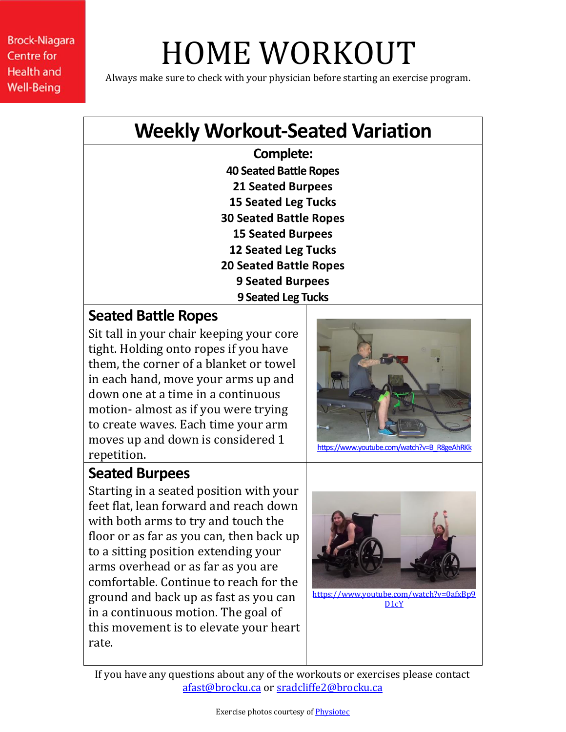# HOME WORKOUT

Always make sure to check with your physician before starting an exercise program.

### **Weekly Workout-Seated Variation**

**Complete: 40 Seated Battle Ropes 21 Seated Burpees 15 Seated Leg Tucks 30 Seated Battle Ropes 15 Seated Burpees 12 Seated Leg Tucks 20 Seated Battle Ropes 9 Seated Burpees 9 Seated Leg Tucks**

### **Seated Battle Ropes**

Sit tall in your chair keeping your core tight. Holding onto ropes if you have them, the corner of a blanket or towel in each hand, move your arms up and down one at a time in a continuous motion- almost as if you were trying to create waves. Each time your arm moves up and down is considered 1 repetition.



[https://www.youtube.com/watch?v=B\\_R8geAhRKk](https://www.youtube.com/watch?v=B_R8geAhRKk)

### **Seated Burpees**

Starting in a seated position with your feet flat, lean forward and reach down with both arms to try and touch the floor or as far as you can, then back up to a sitting position extending your arms overhead or as far as you are comfortable. Continue to reach for the ground and back up as fast as you can in a continuous motion. The goal of this movement is to elevate your heart rate.



[https://www.youtube.com/watch?v=0afxBp9](https://www.youtube.com/watch?v=0afxBp9D1cY) D<sub>1</sub>cY